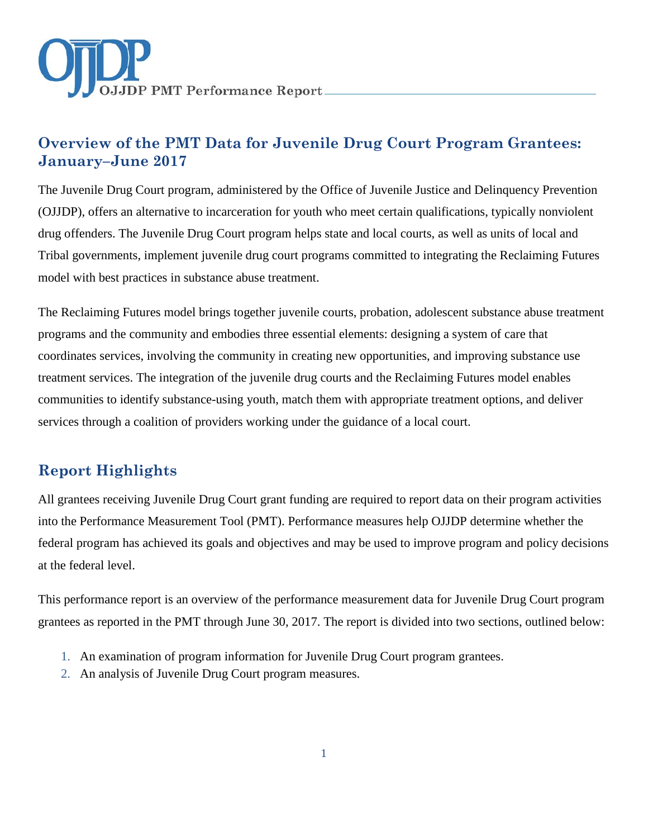

# **Overview of the PMT Data for Juvenile Drug Court Program Grantees: January–June 2017**

The Juvenile Drug Court program, administered by the Office of Juvenile Justice and Delinquency Prevention (OJJDP), offers an alternative to incarceration for youth who meet certain qualifications, typically nonviolent drug offenders. The Juvenile Drug Court program helps state and local courts, as well as units of local and Tribal governments, implement juvenile drug court programs committed to integrating the Reclaiming Futures model with best practices in substance abuse treatment.

The Reclaiming Futures model brings together juvenile courts, probation, adolescent substance abuse treatment programs and the community and embodies three essential elements: designing a system of care that coordinates services, involving the community in creating new opportunities, and improving substance use treatment services. The integration of the juvenile drug courts and the Reclaiming Futures model enables communities to identify substance-using youth, match them with appropriate treatment options, and deliver services through a coalition of providers working under the guidance of a local court.

# **Report Highlights**

All grantees receiving Juvenile Drug Court grant funding are required to report data on their program activities into the Performance Measurement Tool (PMT). Performance measures help OJJDP determine whether the federal program has achieved its goals and objectives and may be used to improve program and policy decisions at the federal level.

This performance report is an overview of the performance measurement data for Juvenile Drug Court program grantees as reported in the PMT through June 30, 2017. The report is divided into two sections, outlined below:

- 1. An examination of program information for Juvenile Drug Court program grantees.
- 2. An analysis of Juvenile Drug Court program measures.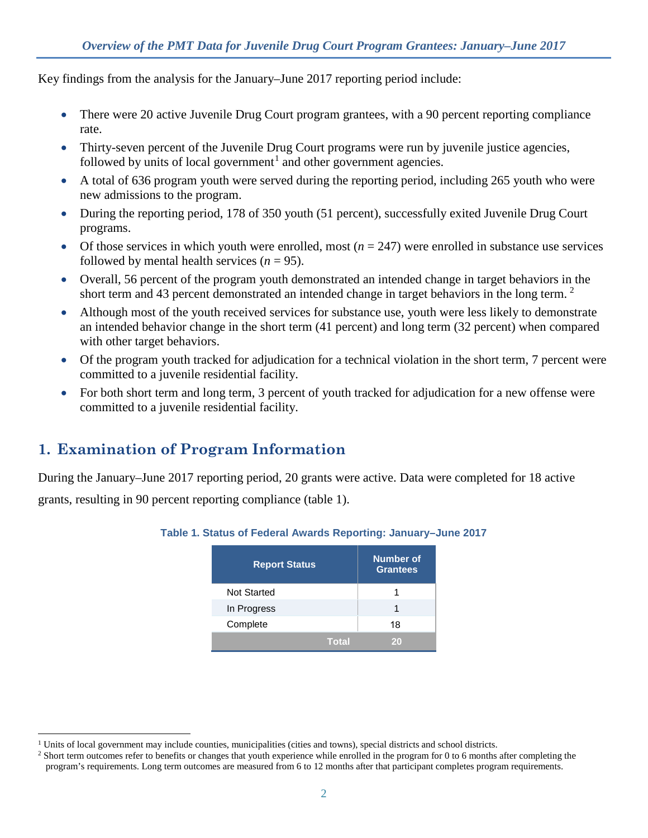Key findings from the analysis for the January–June 2017 reporting period include:

- There were 20 active Juvenile Drug Court program grantees, with a 90 percent reporting compliance rate.
- Thirty-seven percent of the Juvenile Drug Court programs were run by juvenile justice agencies, followed by units of local government<sup>[1](#page-1-0)</sup> and other government agencies.
- A total of 636 program youth were served during the reporting period, including 265 youth who were new admissions to the program.
- During the reporting period, 178 of 350 youth (51 percent), successfully exited Juvenile Drug Court programs.
- Of those services in which youth were enrolled, most  $(n = 247)$  were enrolled in substance use services followed by mental health services  $(n = 95)$ .
- Overall, 56 percent of the program youth demonstrated an intended change in target behaviors in the short term and 43 percent demonstrated an intended change in target behaviors in the long term.<sup>[2](#page-1-1)</sup>
- Although most of the youth received services for substance use, youth were less likely to demonstrate an intended behavior change in the short term (41 percent) and long term (32 percent) when compared with other target behaviors.
- Of the program youth tracked for adjudication for a technical violation in the short term, 7 percent were committed to a juvenile residential facility.
- For both short term and long term, 3 percent of youth tracked for adjudication for a new offense were committed to a juvenile residential facility.

# **1. Examination of Program Information**

During the January–June 2017 reporting period, 20 grants were active. Data were completed for 18 active

grants, resulting in 90 percent reporting compliance (table 1).

| <b>Report Status</b> |              | Number of<br><b>Grantees</b> |  |
|----------------------|--------------|------------------------------|--|
| <b>Not Started</b>   |              |                              |  |
| In Progress          |              | 1                            |  |
| Complete             |              | 18                           |  |
|                      | <b>Total</b> | 20                           |  |

### **Table 1. Status of Federal Awards Reporting: January–June 2017**

<span id="page-1-0"></span><sup>&</sup>lt;sup>1</sup> Units of local government may include counties, municipalities (cities and towns), special districts and school districts.

<span id="page-1-1"></span><sup>&</sup>lt;sup>2</sup> Short term outcomes refer to benefits or changes that youth experience while enrolled in the program for 0 to 6 months after completing the program's requirements. Long term outcomes are measured from 6 to 12 months after that participant completes program requirements.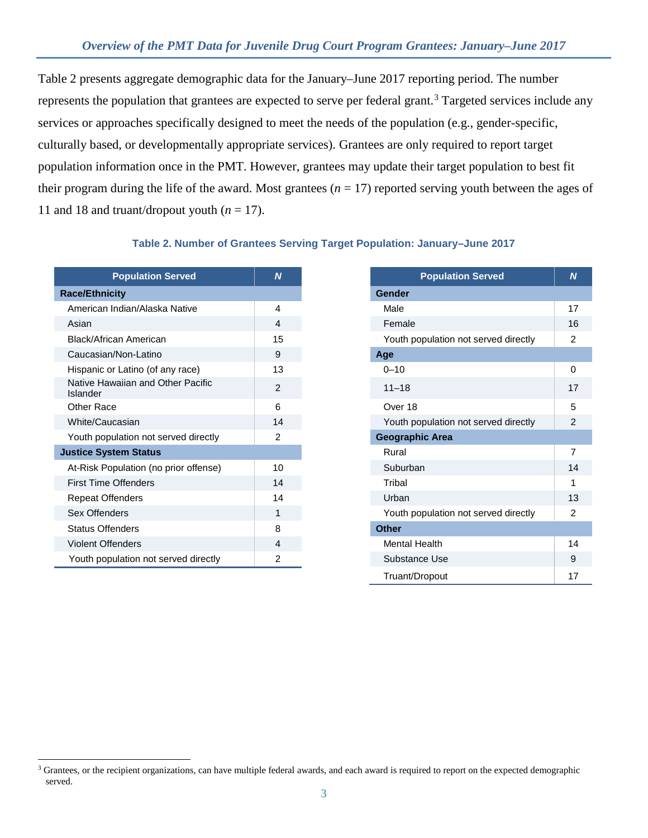Table 2 presents aggregate demographic data for the January–June 2017 reporting period. The number represents the population that grantees are expected to serve per federal grant.<sup>[3](#page-2-0)</sup> Targeted services include any services or approaches specifically designed to meet the needs of the population (e.g., gender-specific, culturally based, or developmentally appropriate services). Grantees are only required to report target population information once in the PMT. However, grantees may update their target population to best fit their program during the life of the award. Most grantees  $(n = 17)$  reported serving youth between the ages of 11 and 18 and truant/dropout youth  $(n = 17)$ .

#### **Table 2. Number of Grantees Serving Target Population: January–June 2017**

| <b>Population Served</b>                      | N              |
|-----------------------------------------------|----------------|
| <b>Race/Ethnicity</b>                         |                |
| American Indian/Alaska Native                 | 4              |
| Asian                                         | 4              |
| Black/African American                        | 15             |
| Caucasian/Non-Latino                          | 9              |
| Hispanic or Latino (of any race)              | 13             |
| Native Hawaiian and Other Pacific<br>Islander | $\overline{2}$ |
| Other Race                                    | 6              |
| White/Caucasian                               | 14             |
| Youth population not served directly          | 2              |
| <b>Justice System Status</b>                  |                |
| At-Risk Population (no prior offense)         | 10             |
| <b>First Time Offenders</b>                   | 14             |
| <b>Repeat Offenders</b>                       | 14             |
| Sex Offenders                                 | 1              |
| <b>Status Offenders</b>                       | 8              |
| <b>Violent Offenders</b>                      | 4              |
| Youth population not served directly          | 2              |

 $\ddot{\phantom{a}}$ 

| <b>Population Served</b>    | $\overline{N}$ | <b>Population Served</b>             |
|-----------------------------|----------------|--------------------------------------|
| ity:                        |                | <b>Gender</b>                        |
| ndian/Alaska Native         | 4              | Male                                 |
|                             | 4              | Female                               |
| an American                 | 15             | Youth population not served directly |
| /Non-Latino                 | 9              | Age                                  |
| r Latino (of any race)      | 13             | $0 - 10$                             |
| vaiian and Other Pacific    | 2              | $11 - 18$                            |
|                             | 6              | Over 18                              |
| casian                      | 14             | Youth population not served directly |
| ulation not served directly | 2              | <b>Geographic Area</b>               |
| tem Status                  |                | Rural                                |
| pulation (no prior offense) | 10             | Suburban                             |
| <b>Offenders</b>            | 14             | Tribal                               |
| enders                      | 14             | Urban                                |
| lers                        | 1              | Youth population not served directly |
| enders                      | 8              | <b>Other</b>                         |
| enders                      | 4              | <b>Mental Health</b>                 |
| ulation not served directly | $\overline{c}$ | Substance Use                        |
|                             |                | Truant/Dropout                       |

<span id="page-2-0"></span><sup>&</sup>lt;sup>3</sup> Grantees, or the recipient organizations, can have multiple federal awards, and each award is required to report on the expected demographic served.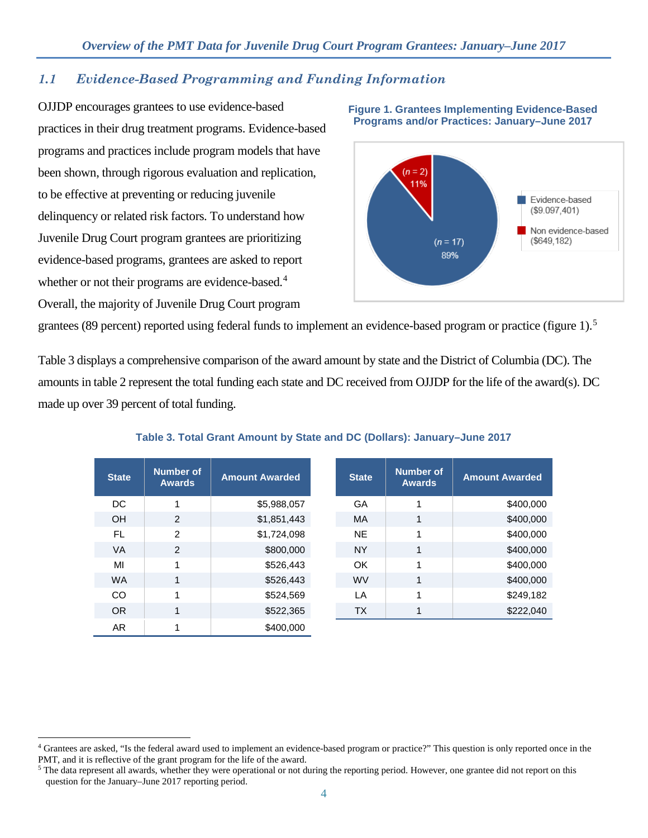### *1.1 Evidence-Based Programming and Funding Information*

OJJDP encourages grantees to use evidence-based practices in their drug treatment programs. Evidence-based programs and practices include program models that have been shown, through rigorous evaluation and replication, to be effective at preventing or reducing juvenile delinquency or related risk factors. To understand how Juvenile Drug Court program grantees are prioritizing evidence-based programs, grantees are asked to report whether or not their programs are evidence-based.<sup>[4](#page-3-0)</sup> Overall, the majority of Juvenile Drug Court program

 $\overline{a}$ 



**Figure 1. Grantees Implementing Evidence-Based Programs and/or Practices: January–June 2017**

grantees (89 percent) reported using federal funds to implement an evidence-based program or practice (figure 1).<sup>[5](#page-3-1)</sup>

Table 3 displays a comprehensive comparison of the award amount by state and the District of Columbia (DC). The amounts in table 2 represent the total funding each state and DC received from OJJDP for the life of the award(s). DC made up over 39 percent of total funding.

| <b>State</b> | <b>Number of</b><br><b>Awards</b> | <b>Amount Awarded</b> | <b>State</b> | <b>Number of</b><br><b>Awards</b> | <b>Amount Awarded</b> |
|--------------|-----------------------------------|-----------------------|--------------|-----------------------------------|-----------------------|
| DC.          |                                   | \$5,988,057           | GA           |                                   | \$400,000             |
| <b>OH</b>    | $\mathcal{P}$                     | \$1,851,443           | <b>MA</b>    | 1                                 | \$400,000             |
| FL.          | $\mathcal{P}$                     | \$1,724,098           | <b>NE</b>    | 1                                 | \$400,000             |
| <b>VA</b>    | $\mathcal{P}$                     | \$800,000             | <b>NY</b>    | 1                                 | \$400,000             |
| MI           |                                   | \$526,443             | OK.          | 1                                 | \$400,000             |
| <b>WA</b>    | 1                                 | \$526,443             | <b>WV</b>    | $\mathbf{1}$                      | \$400,000             |
| <b>CO</b>    | 1                                 | \$524,569             | LA           | 1                                 | \$249,182             |
| OR.          | 1                                 | \$522,365             | <b>TX</b>    | 1                                 | \$222,040             |
| AR.          |                                   | \$400,000             |              |                                   |                       |

**Table 3. Total Grant Amount by State and DC (Dollars): January–June 2017**

<span id="page-3-0"></span><sup>4</sup> Grantees are asked, "Is the federal award used to implement an evidence-based program or practice?" This question is only reported once in the PMT, and it is reflective of the grant program for the life of the award.

<span id="page-3-1"></span><sup>&</sup>lt;sup>5</sup> The data represent all awards, whether they were operational or not during the reporting period. However, one grantee did not report on this question for the January–June 2017 reporting period.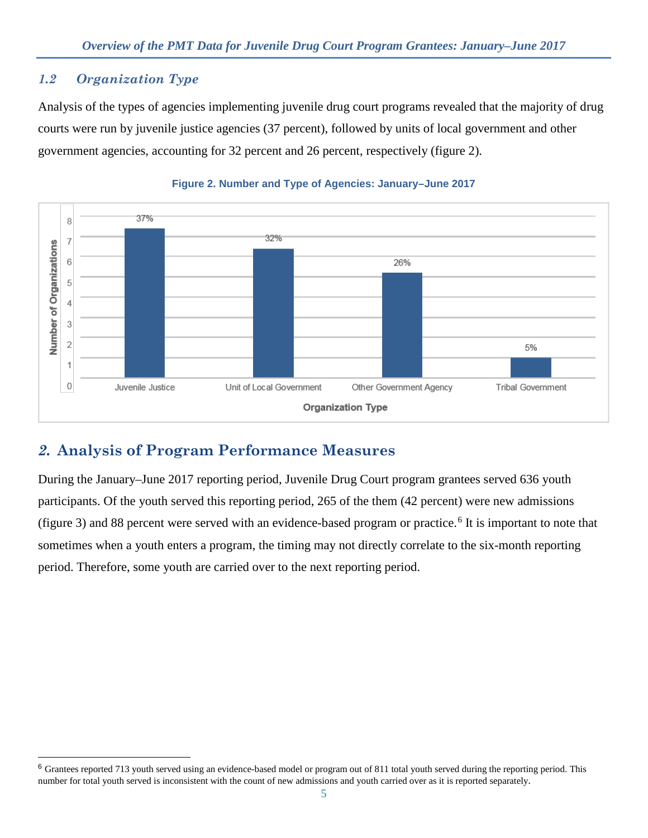### *1.2 Organization Type*

 $\ddot{\phantom{a}}$ 

Analysis of the types of agencies implementing juvenile drug court programs revealed that the majority of drug courts were run by juvenile justice agencies (37 percent), followed by units of local government and other government agencies, accounting for 32 percent and 26 percent, respectively (figure 2).



### **Figure 2. Number and Type of Agencies: January–June 2017**

# *2.* **Analysis of Program Performance Measures**

During the January–June 2017 reporting period, Juvenile Drug Court program grantees served 636 youth participants. Of the youth served this reporting period, 265 of the them (42 percent) were new admissions (figure 3) and 88 percent were served with an evidence-based program or practice.<sup>[6](#page-4-0)</sup> It is important to note that sometimes when a youth enters a program, the timing may not directly correlate to the six-month reporting period. Therefore, some youth are carried over to the next reporting period.

<span id="page-4-0"></span><sup>&</sup>lt;sup>6</sup> Grantees reported 713 youth served using an evidence-based model or program out of 811 total youth served during the reporting period. This number for total youth served is inconsistent with the count of new admissions and youth carried over as it is reported separately.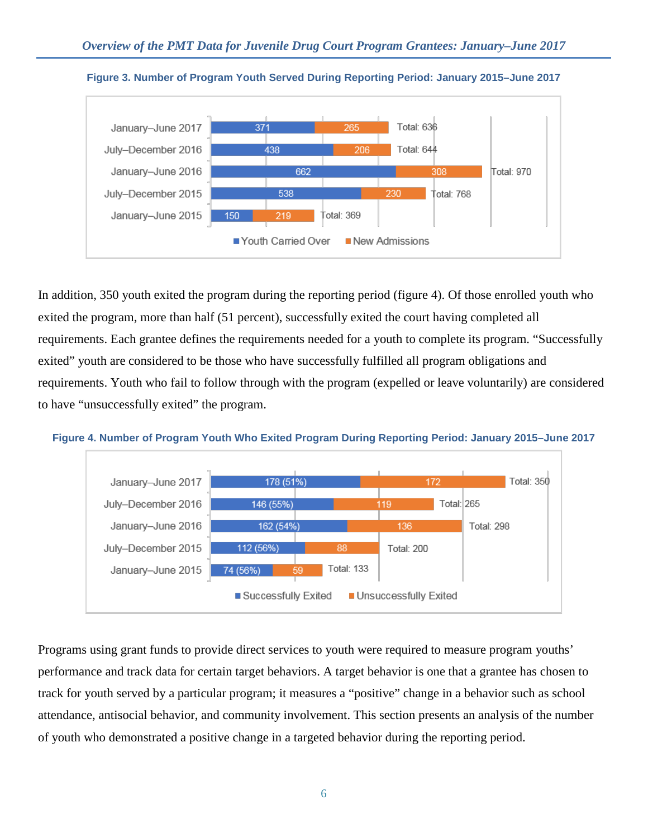



In addition, 350 youth exited the program during the reporting period (figure 4). Of those enrolled youth who exited the program, more than half (51 percent), successfully exited the court having completed all requirements. Each grantee defines the requirements needed for a youth to complete its program. "Successfully exited" youth are considered to be those who have successfully fulfilled all program obligations and requirements. Youth who fail to follow through with the program (expelled or leave voluntarily) are considered to have "unsuccessfully exited" the program.





Programs using grant funds to provide direct services to youth were required to measure program youths' performance and track data for certain target behaviors. A target behavior is one that a grantee has chosen to track for youth served by a particular program; it measures a "positive" change in a behavior such as school attendance, antisocial behavior, and community involvement. This section presents an analysis of the number of youth who demonstrated a positive change in a targeted behavior during the reporting period.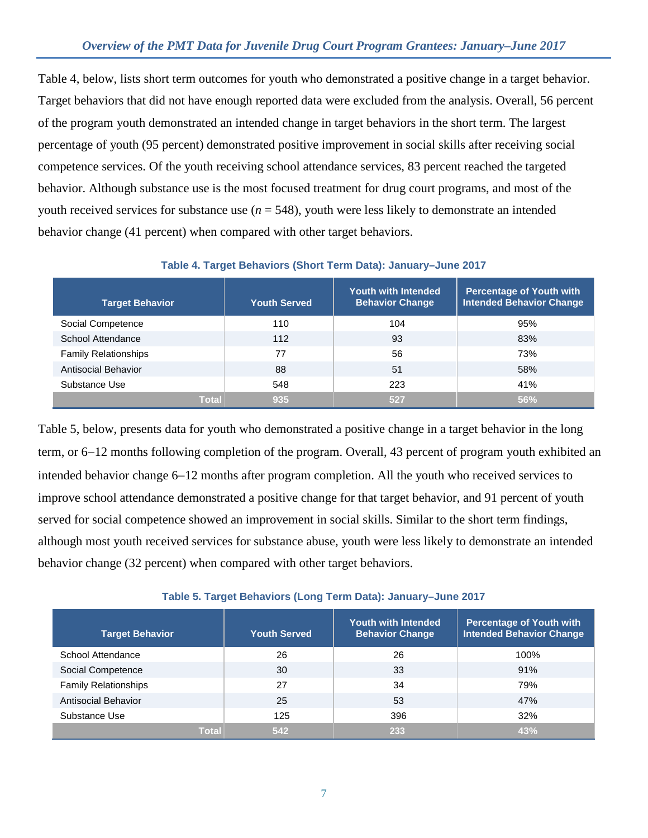Table 4, below, lists short term outcomes for youth who demonstrated a positive change in a target behavior. Target behaviors that did not have enough reported data were excluded from the analysis. Overall, 56 percent of the program youth demonstrated an intended change in target behaviors in the short term. The largest percentage of youth (95 percent) demonstrated positive improvement in social skills after receiving social competence services. Of the youth receiving school attendance services, 83 percent reached the targeted behavior. Although substance use is the most focused treatment for drug court programs, and most of the youth received services for substance use  $(n = 548)$ , youth were less likely to demonstrate an intended behavior change (41 percent) when compared with other target behaviors.

| <b>Target Behavior</b>      | <b>Youth Served</b> | <b>Youth with Intended</b><br><b>Behavior Change</b> | <b>Percentage of Youth with</b><br><b>Intended Behavior Change</b> |
|-----------------------------|---------------------|------------------------------------------------------|--------------------------------------------------------------------|
| Social Competence           | 110                 | 104                                                  | 95%                                                                |
| School Attendance           | 112                 | 93                                                   | 83%                                                                |
| <b>Family Relationships</b> | 77                  | 56                                                   | 73%                                                                |
| Antisocial Behavior         | 88                  | 51                                                   | 58%                                                                |
| Substance Use               | 548                 | 223                                                  | 41%                                                                |
| <b>Total</b>                | 935                 | 527                                                  | 56%                                                                |

### **Table 4. Target Behaviors (Short Term Data): January–June 2017**

Table 5, below, presents data for youth who demonstrated a positive change in a target behavior in the long term, or 6−12 months following completion of the program. Overall, 43 percent of program youth exhibited an intended behavior change 6−12 months after program completion. All the youth who received services to improve school attendance demonstrated a positive change for that target behavior, and 91 percent of youth served for social competence showed an improvement in social skills. Similar to the short term findings, although most youth received services for substance abuse, youth were less likely to demonstrate an intended behavior change (32 percent) when compared with other target behaviors.

#### **Table 5. Target Behaviors (Long Term Data): January–June 2017**

| <b>Target Behavior</b>      | <b>Youth Served</b> | <b>Youth with Intended</b><br><b>Behavior Change</b> | <b>Percentage of Youth with</b><br><b>Intended Behavior Change</b> |
|-----------------------------|---------------------|------------------------------------------------------|--------------------------------------------------------------------|
| School Attendance           | 26                  | 26                                                   | 100%                                                               |
| Social Competence           | 30                  | 33                                                   | 91%                                                                |
| <b>Family Relationships</b> | 27                  | 34                                                   | 79%                                                                |
| Antisocial Behavior         | 25                  | 53                                                   | 47%                                                                |
| Substance Use               | 125                 | 396                                                  | 32%                                                                |
| <b>Total</b>                | 542                 | 233                                                  | 43%                                                                |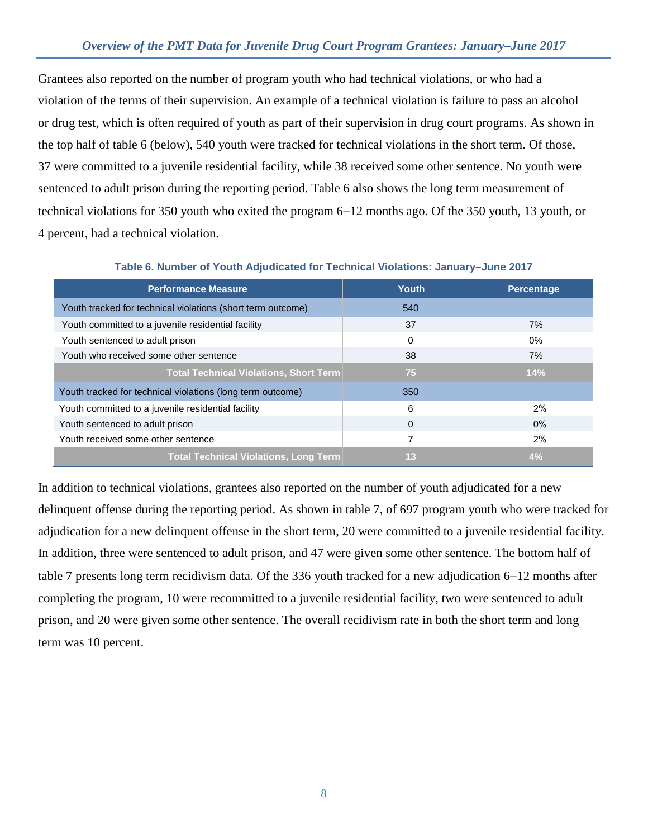### *Overview of the PMT Data for Juvenile Drug Court Program Grantees: January–June 2017*

Grantees also reported on the number of program youth who had technical violations, or who had a violation of the terms of their supervision. An example of a technical violation is failure to pass an alcohol or drug test, which is often required of youth as part of their supervision in drug court programs. As shown in the top half of table 6 (below), 540 youth were tracked for technical violations in the short term. Of those, 37 were committed to a juvenile residential facility, while 38 received some other sentence. No youth were sentenced to adult prison during the reporting period. Table 6 also shows the long term measurement of technical violations for 350 youth who exited the program 6−12 months ago. Of the 350 youth, 13 youth, or 4 percent, had a technical violation.

| <b>Performance Measure</b>                                  | Youth    | Percentage |
|-------------------------------------------------------------|----------|------------|
| Youth tracked for technical violations (short term outcome) | 540      |            |
| Youth committed to a juvenile residential facility          | 37       | 7%         |
| Youth sentenced to adult prison                             | $\Omega$ | $0\%$      |
| Youth who received some other sentence                      | 38       | 7%         |
| <b>Total Technical Violations, Short Term</b>               | 75       | 14%        |
| Youth tracked for technical violations (long term outcome)  | 350      |            |
| Youth committed to a juvenile residential facility          | 6        | 2%         |
| Youth sentenced to adult prison                             | $\Omega$ | $0\%$      |
| Youth received some other sentence                          |          | 2%         |
| <b>Total Technical Violations, Long Term</b>                | 13       | 4%         |

**Table 6. Number of Youth Adjudicated for Technical Violations: January–June 2017**

In addition to technical violations, grantees also reported on the number of youth adjudicated for a new delinquent offense during the reporting period. As shown in table 7, of 697 program youth who were tracked for adjudication for a new delinquent offense in the short term, 20 were committed to a juvenile residential facility. In addition, three were sentenced to adult prison, and 47 were given some other sentence. The bottom half of table 7 presents long term recidivism data. Of the 336 youth tracked for a new adjudication 6−12 months after completing the program, 10 were recommitted to a juvenile residential facility, two were sentenced to adult prison, and 20 were given some other sentence. The overall recidivism rate in both the short term and long term was 10 percent.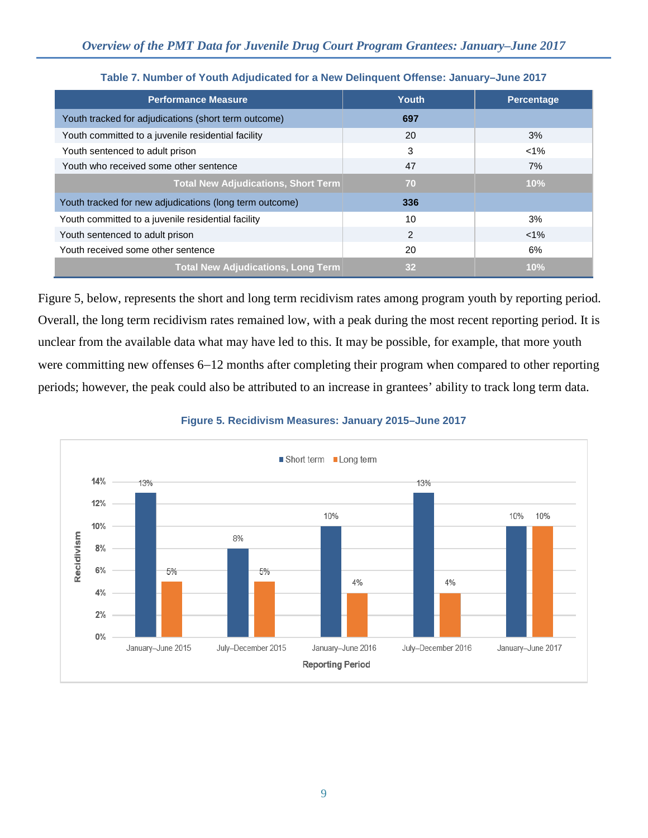| <b>Performance Measure</b>                              | Youth          | <b>Percentage</b> |
|---------------------------------------------------------|----------------|-------------------|
| Youth tracked for adjudications (short term outcome)    | 697            |                   |
| Youth committed to a juvenile residential facility      | 20             | 3%                |
| Youth sentenced to adult prison                         | 3              | $< 1\%$           |
| Youth who received some other sentence                  | 47             | 7%                |
| <b>Total New Adjudications, Short Term</b>              | 70             | 10%               |
| Youth tracked for new adjudications (long term outcome) | 336            |                   |
| Youth committed to a juvenile residential facility      | 10             | 3%                |
| Youth sentenced to adult prison                         | $\mathfrak{p}$ | $< 1\%$           |
| Youth received some other sentence                      | 20             | 6%                |
| <b>Total New Adjudications, Long Term</b>               | 32             | 10%               |

### **Table 7. Number of Youth Adjudicated for a New Delinquent Offense: January–June 2017**

Figure 5, below, represents the short and long term recidivism rates among program youth by reporting period. Overall, the long term recidivism rates remained low, with a peak during the most recent reporting period. It is unclear from the available data what may have led to this. It may be possible, for example, that more youth were committing new offenses 6−12 months after completing their program when compared to other reporting periods; however, the peak could also be attributed to an increase in grantees' ability to track long term data.

#### **Figure 5. Recidivism Measures: January 2015–June 2017**